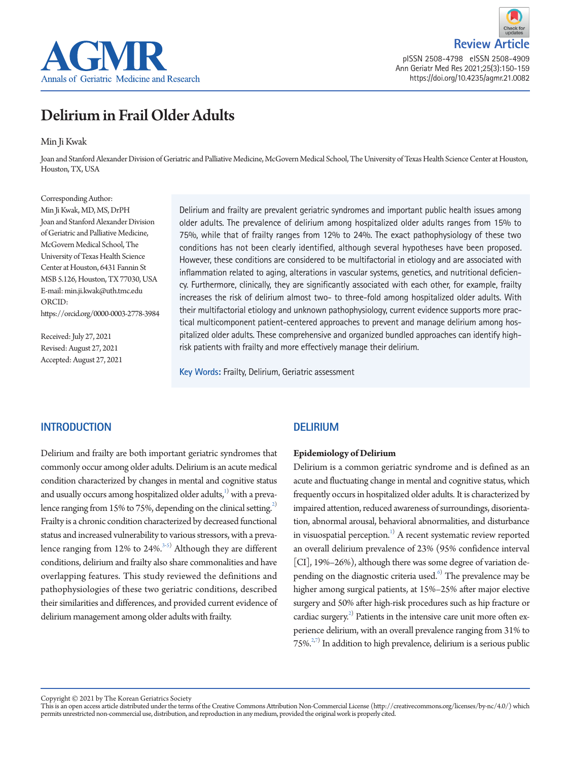



pISSN 2508-4798 eISSN 2508-4909 Ann Geriatr Med Res 2021;25(3):150-159 https://doi.org/10.4235/agmr.21.0082

# Delirium in Frail Older Adults

### Min Ji Kwak

Joan and Stanford Alexander Division of Geriatric and Palliative Medicine, McGovern Medical School, The University of Texas Health Science Center at Houston, Houston, TX, USA

Corresponding Author: Min Ji Kwak, MD, MS, DrPH Joan and Stanford Alexander Division of Geriatric and Palliative Medicine, McGovern Medical School, The University of Texas Health Science Center at Houston, 6431 Fannin St MSB 5.126, Houston, TX 77030, USA E-mail: min.ji.kwak@uth.tmc.edu ORCID: https://orcid.org/0000-0003-2778-3984

Received: July 27, 2021 Revised: August 27, 2021 Accepted: August 27, 2021 Delirium and frailty are prevalent geriatric syndromes and important public health issues among older adults. The prevalence of delirium among hospitalized older adults ranges from 15% to 75%, while that of frailty ranges from 12% to 24%. The exact pathophysiology of these two conditions has not been clearly identified, although several hypotheses have been proposed. However, these conditions are considered to be multifactorial in etiology and are associated with inflammation related to aging, alterations in vascular systems, genetics, and nutritional deficiency. Furthermore, clinically, they are significantly associated with each other, for example, frailty increases the risk of delirium almost two- to three-fold among hospitalized older adults. With their multifactorial etiology and unknown pathophysiology, current evidence supports more practical multicomponent patient-centered approaches to prevent and manage delirium among hospitalized older adults. These comprehensive and organized bundled approaches can identify highrisk patients with frailty and more effectively manage their delirium.

**Key Words:** Frailty, Delirium, Geriatric assessment

# **INTRODUCTION**

Delirium and frailty are both important geriatric syndromes that commonly occur among older adults. Delirium is an acute medical condition characterized by changes in mental and cognitive status and usually occurs among hospitalized older adults, $^{1)}$  $^{1)}$  $^{1)}$  with a prevalence ranging from 15% to 75%, depending on the clinical setting.<sup>2)</sup> Frailty is a chronic condition characterized by decreased functional status and increased vulnerability to various stressors, with a prevalence ranging from  $12\%$  to  $24\%.$ <sup>3[-5\)](#page-6-3)</sup> Although they are different conditions, delirium and frailty also share commonalities and have overlapping features. This study reviewed the definitions and pathophysiologies of these two geriatric conditions, described their similarities and differences, and provided current evidence of delirium management among older adults with frailty.

# **DELIRIUM**

### **Epidemiology of Delirium**

Delirium is a common geriatric syndrome and is defined as an acute and fluctuating change in mental and cognitive status, which frequently occurs in hospitalized older adults. It is characterized by impaired attention, reduced awareness of surroundings, disorientation, abnormal arousal, behavioral abnormalities, and disturbance in visuospatial perception.<sup>[1\)](#page-6-0)</sup> A recent systematic review reported an overall delirium prevalence of 23% (95% confidence interval [CI], 19%–26%), although there was some degree of variation depending on the diagnostic criteria used.<sup>6)</sup> The prevalence may be higher among surgical patients, at 15%–25% after major elective surgery and 50% after high-risk procedures such as hip fracture or cardiac surgery.<sup>[2](#page-6-1))</sup> Patients in the intensive care unit more often experience delirium, with an overall prevalence ranging from 31% to  $75\%$ <sup>2,[7\)](#page-6-5)</sup> In addition to high prevalence, delirium is a serious public

Copyright © 2021 by The Korean Geriatrics Society<br>This is an open access article distributed under the terms of the Creative Commons Attribution Non-Commercial License (http://creativecommons.org/licenses/by-nc/4.0/) which permits unrestricted non-commercial use, distribution, and reproduction in any medium, provided the original work is properly cited.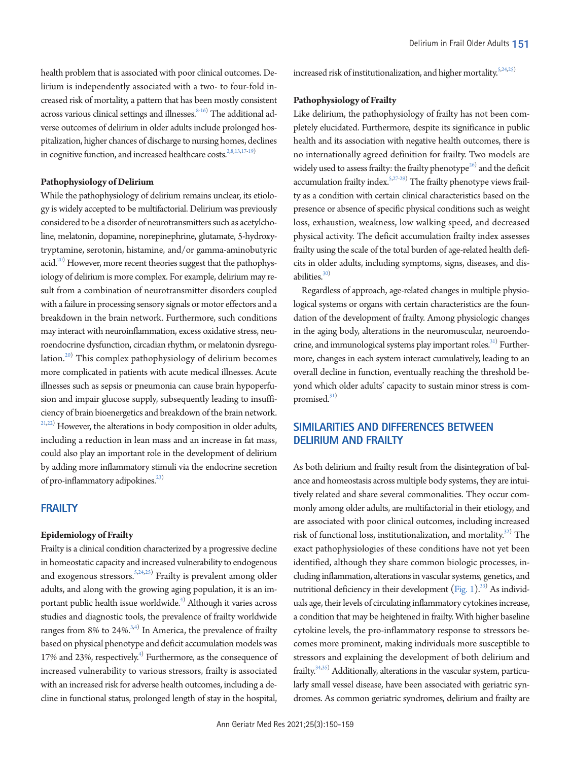health problem that is associated with poor clinical outcomes. Delirium is independently associated with a two- to four-fold increased risk of mortality, a pattern that has been mostly consistent across various clinical settings and illnesses.  $^{8 \cdot 16)}$  $^{8 \cdot 16)}$  $^{8 \cdot 16)}$  The additional adverse outcomes of delirium in older adults include prolonged hospitalization, higher chances of discharge to nursing homes, declines in cognitive function, and increased healthcare costs. $2,8,13,17-19$  $2,8,13,17-19$  $2,8,13,17-19$  $2,8,13,17-19$  $2,8,13,17-19$  $2,8,13,17-19$ )

### **Pathophysiology of Delirium**

While the pathophysiology of delirium remains unclear, its etiology is widely accepted to be multifactorial. Delirium was previously considered to be a disorder of neurotransmitters such as acetylcholine, melatonin, dopamine, norepinephrine, glutamate, 5-hydroxytryptamine, serotonin, histamine, and/or gamma-aminobutyric acid. $^{20)}$  However, more recent theories suggest that the pathophysiology of delirium is more complex. For example, delirium may result from a combination of neurotransmitter disorders coupled with a failure in processing sensory signals or motor effectors and a breakdown in the brain network. Furthermore, such conditions may interact with neuroinflammation, excess oxidative stress, neuroendocrine dysfunction, circadian rhythm, or melatonin dysregu-lation.<sup>[20\)](#page-7-0)</sup> This complex pathophysiology of delirium becomes more complicated in patients with acute medical illnesses. Acute illnesses such as sepsis or pneumonia can cause brain hypoperfusion and impair glucose supply, subsequently leading to insufficiency of brain bioenergetics and breakdown of the brain network.  $21,22$  $21,22$ ) However, the alterations in body composition in older adults, including a reduction in lean mass and an increase in fat mass, could also play an important role in the development of delirium by adding more inflammatory stimuli via the endocrine secretion of pro-inflammatory adipokines. $^{23)}$ 

# **FRAILTY**

### **Epidemiology of Frailty**

Frailty is a clinical condition characterized by a progressive decline in homeostatic capacity and increased vulnerability to endogenous and exogenous stressors.<sup>5[,24](#page-7-6),[25](#page-7-4))</sup> Frailty is prevalent among older adults, and along with the growing aging population, it is an important public health issue worldwide.<sup>4)</sup> Although it varies across studies and diagnostic tools, the prevalence of frailty worldwide ranges from 8% to 24%. $3,4)$  $3,4)$  $3,4)$  In America, the prevalence of frailty based on physical phenotype and deficit accumulation models was 17% and 23%, respectively.<sup>[4](#page-6-2))</sup> Furthermore, as the consequence of increased vulnerability to various stressors, frailty is associated with an increased risk for adverse health outcomes, including a decline in functional status, prolonged length of stay in the hospital, increased risk of institutionalization, and higher mortality.<sup>5[,24](#page-7-6)[,25\)](#page-7-4)</sup>

### **Pathophysiology of Frailty**

Like delirium, the pathophysiology of frailty has not been completely elucidated. Furthermore, despite its significance in public health and its association with negative health outcomes, there is no internationally agreed definition for frailty. Two models are widely used to assess frailty: the frailty phenotype $^{26}$  and the deficit accumulation frailty index.<sup>5[,27](#page-7-7)-29</sup> The frailty phenotype views frailty as a condition with certain clinical characteristics based on the presence or absence of specific physical conditions such as weight loss, exhaustion, weakness, low walking speed, and decreased physical activity. The deficit accumulation frailty index assesses frailty using the scale of the total burden of age-related health deficits in older adults, including symptoms, signs, diseases, and disabilities. $30)$  $30)$ 

Regardless of approach, age-related changes in multiple physiological systems or organs with certain characteristics are the foundation of the development of frailty. Among physiologic changes in the aging body, alterations in the neuromuscular, neuroendocrine, and immunological systems play important roles.<sup>31)</sup> Furthermore, changes in each system interact cumulatively, leading to an overall decline in function, eventually reaching the threshold beyond which older adults' capacity to sustain minor stress is compromised. $31)$  $31)$ 

# **SIMILARITIES AND DIFFERENCES BETWEEN DELIRIUM AND FRAILTY**

As both delirium and frailty result from the disintegration of balance and homeostasis across multiple body systems, they are intuitively related and share several commonalities. They occur commonly among older adults, are multifactorial in their etiology, and are associated with poor clinical outcomes, including increased risk of functional loss, institutionalization, and mortality.<sup>[32\)](#page-7-10)</sup> The exact pathophysiologies of these conditions have not yet been identified, although they share common biologic processes, including inflammation, alterations in vascular systems, genetics, and nutritional deficiency in their development [\(Fig. 1\)](#page-2-0).<sup>[33](#page-7-11))</sup> As individuals age, their levels of circulating inflammatory cytokines increase, a condition that may be heightened in frailty. With higher baseline cytokine levels, the pro-inflammatory response to stressors becomes more prominent, making individuals more susceptible to stressors and explaining the development of both delirium and frailty.<sup>34[,35\)](#page-7-13)</sup> Additionally, alterations in the vascular system, particularly small vessel disease, have been associated with geriatric syndromes. As common geriatric syndromes, delirium and frailty are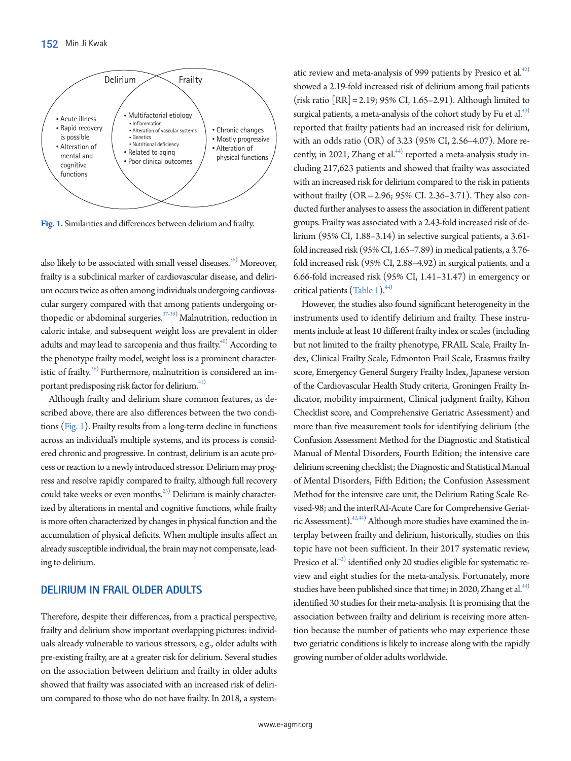<span id="page-2-0"></span>

**Fig. 1.** Similarities and differences between delirium and frailty.

also likely to be associated with small vessel diseases. $^{36)}$  Moreover, frailty is a subclinical marker of cardiovascular disease, and delirium occurs twice as often among individuals undergoing cardiovascular surgery compared with that among patients undergoing orthopedic or abdominal surgeries. $37-39$  $37-39$ ) Malnutrition, reduction in caloric intake, and subsequent weight loss are prevalent in older adults and may lead to sarcopenia and thus frailty.<sup>[40](#page-8-1))</sup> According to the phenotype frailty model, weight loss is a prominent characteristic of frailty.<sup>26)</sup> Furthermore, malnutrition is considered an important predisposing risk factor for delirium.<sup>41)</sup>

Although frailty and delirium share common features, as described above, there are also differences between the two conditions [\(Fig. 1\)](#page-9-0). Frailty results from a long-term decline in functions across an individual's multiple systems, and its process is considered chronic and progressive. In contrast, delirium is an acute process or reaction to a newly introduced stressor. Delirium may progress and resolve rapidly compared to frailty, although full recovery could take weeks or even months.<sup>23)</sup> Delirium is mainly characterized by alterations in mental and cognitive functions, while frailty is more often characterized by changes in physical function and the accumulation of physical deficits. When multiple insults affect an already susceptible individual, the brain may not compensate, leading to delirium.

## **DELIRIUM IN FRAIL OLDER ADULTS**

Therefore, despite their differences, from a practical perspective, frailty and delirium show important overlapping pictures: individuals already vulnerable to various stressors, e.g., older adults with pre-existing frailty, are at a greater risk for delirium. Several studies on the association between delirium and frailty in older adults showed that frailty was associated with an increased risk of delirium compared to those who do not have frailty. In 2018, a system-

atic review and meta-analysis of 999 patients by Presico et al. $42$ showed a 2.19-fold increased risk of delirium among frail patients (risk ratio [RR] = 2.19; 95% CI, 1.65–2.91). Although limited to surgical patients, a meta-analysis of the cohort study by Fu et al.<sup>[43](#page-8-0))</sup> reported that frailty patients had an increased risk for delirium, with an odds ratio (OR) of 3.23 (95% CI, 2.56–4.07). More recently, in 2021, Zhang et al. $44)$  reported a meta-analysis study including 217,623 patients and showed that frailty was associated with an increased risk for delirium compared to the risk in patients without frailty (OR = 2.96; 95% CI. 2.36–3.71). They also conducted further analyses to assess the association in different patient groups. Frailty was associated with a 2.43-fold increased risk of delirium (95% CI, 1.88–3.14) in selective surgical patients, a 3.61 fold increased risk (95% CI, 1.65–7.89) in medical patients, a 3.76 fold increased risk (95% CI, 2.88–4.92) in surgical patients, and a 6.66-fold increased risk (95% CI, 1.41–31.47) in emergency or critical patients [\(Table 1](#page-3-0)).<sup>44)</sup>

However, the studies also found significant heterogeneity in the instruments used to identify delirium and frailty. These instruments include at least 10 different frailty index or scales (including but not limited to the frailty phenotype, FRAIL Scale, Frailty Index, Clinical Frailty Scale, Edmonton Frail Scale, Erasmus frailty score, Emergency General Surgery Frailty Index, Japanese version of the Cardiovascular Health Study criteria, Groningen Frailty Indicator, mobility impairment, Clinical judgment frailty, Kihon Checklist score, and Comprehensive Geriatric Assessment) and more than five measurement tools for identifying delirium (the Confusion Assessment Method for the Diagnostic and Statistical Manual of Mental Disorders, Fourth Edition; the intensive care delirium screening checklist; the Diagnostic and Statistical Manual of Mental Disorders, Fifth Edition; the Confusion Assessment Method for the intensive care unit, the Delirium Rating Scale Revised-98; and the interRAI-Acute Care for Comprehensive Geriatric Assessment).<sup>42,44)</sup> Although more studies have examined the interplay between frailty and delirium, historically, studies on this topic have not been sufficient. In their 2017 systematic review, Presico et al.<sup>42</sup> identified only 20 studies eligible for systematic review and eight studies for the meta-analysis. Fortunately, more studies have been published since that time; in 2020, Zhang et al.<sup>44)</sup> identified 30 studies for their meta-analysis. It is promising that the association between frailty and delirium is receiving more attention because the number of patients who may experience these two geriatric conditions is likely to increase along with the rapidly growing number of older adults worldwide.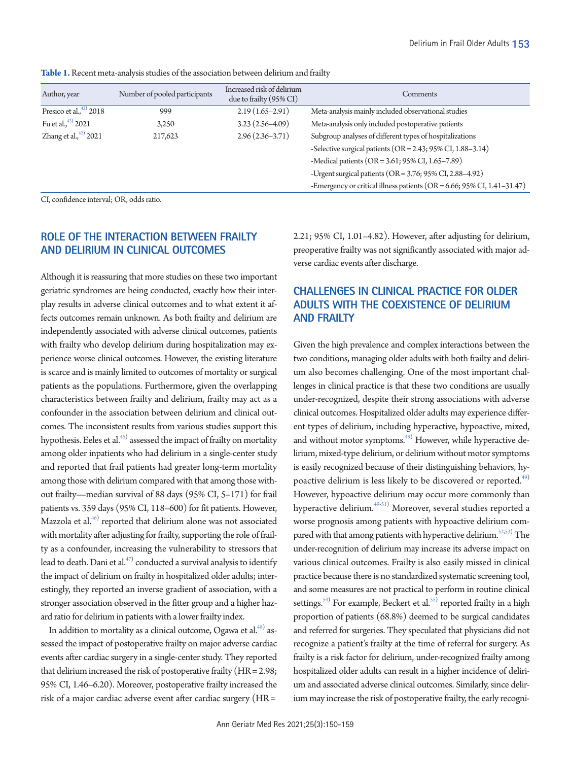| Author, year               | Number of pooled participants | Increased risk of delirium<br>due to frailty (95% CI) | Comments                                                                |
|----------------------------|-------------------------------|-------------------------------------------------------|-------------------------------------------------------------------------|
| Presico et al., $42)$ 2018 | 999                           | $2.19(1.65-2.91)$                                     | Meta-analysis mainly included observational studies                     |
| Fu et al., $43)$ 2021      | 3,250                         | $3.23(2.56-4.09)$                                     | Meta-analysis only included postoperative patients                      |
| Zhang et al., $42)$ 2021   | 217,623                       | $2.96(2.36-3.71)$                                     | Subgroup analyses of different types of hospitalizations                |
|                            |                               |                                                       | -Selective surgical patients (OR = 2.43; 95% CI, 1.88-3.14)             |
|                            |                               |                                                       | -Medical patients (OR = 3.61; 95% CI, 1.65-7.89)                        |
|                            |                               |                                                       | -Urgent surgical patients (OR = 3.76; 95% CI, 2.88-4.92)                |
|                            |                               |                                                       | -Emergency or critical illness patients (OR = 6.66; 95% CI, 1.41-31.47) |

<span id="page-3-0"></span>**Table 1.** Recent meta-analysis studies of the association between delirium and frailty

CI, confidence interval; OR, odds ratio.

# **ROLE OF THE INTERACTION BETWEEN FRAILTY AND DELIRIUM IN CLINICAL OUTCOMES**

Although it is reassuring that more studies on these two important geriatric syndromes are being conducted, exactly how their interplay results in adverse clinical outcomes and to what extent it affects outcomes remain unknown. As both frailty and delirium are independently associated with adverse clinical outcomes, patients with frailty who develop delirium during hospitalization may experience worse clinical outcomes. However, the existing literature is scarce and is mainly limited to outcomes of mortality or surgical patients as the populations. Furthermore, given the overlapping characteristics between frailty and delirium, frailty may act as a confounder in the association between delirium and clinical outcomes. The inconsistent results from various studies support this hypothesis. Eeles et al. $^{45)}$  assessed the impact of frailty on mortality among older inpatients who had delirium in a single-center study and reported that frail patients had greater long-term mortality among those with delirium compared with that among those without frailty—median survival of 88 days (95% CI, 5–171) for frail patients vs. 359 days (95% CI, 118–600) for fit patients. However, Mazzola et al. $^{46)}$  reported that delirium alone was not associated with mortality after adjusting for frailty, supporting the role of frailty as a confounder, increasing the vulnerability to stressors that lead to death. Dani et al. $^{47)}$  conducted a survival analysis to identify the impact of delirium on frailty in hospitalized older adults; interestingly, they reported an inverse gradient of association, with a stronger association observed in the fitter group and a higher hazard ratio for delirium in patients with a lower frailty index.

In addition to mortality as a clinical outcome, Ogawa et al. $^{48)}$  assessed the impact of postoperative frailty on major adverse cardiac events after cardiac surgery in a single-center study. They reported that delirium increased the risk of postoperative frailty (HR = 2.98; 95% CI, 1.46–6.20). Moreover, postoperative frailty increased the risk of a major cardiac adverse event after cardiac surgery (HR =

2.21; 95% CI, 1.01–4.82). However, after adjusting for delirium, preoperative frailty was not significantly associated with major adverse cardiac events after discharge.

# **CHALLENGES IN CLINICAL PRACTICE FOR OLDER ADULTS WITH THE COEXISTENCE OF DELIRIUM AND FRAILTY**

Given the high prevalence and complex interactions between the two conditions, managing older adults with both frailty and delirium also becomes challenging. One of the most important challenges in clinical practice is that these two conditions are usually under-recognized, despite their strong associations with adverse clinical outcomes. Hospitalized older adults may experience different types of delirium, including hyperactive, hypoactive, mixed, and without motor symptoms.<sup>[49](#page-8-4))</sup> However, while hyperactive delirium, mixed-type delirium, or delirium without motor symptoms is easily recognized because of their distinguishing behaviors, hypoactive delirium is less likely to be discovered or reported.<sup>49)</sup> However, hypoactive delirium may occur more commonly than hyperactive delirium.<sup>49[-51\)](#page-8-7)</sup> Moreover, several studies reported a worse prognosis among patients with hypoactive delirium com-pared with that among patients with hyperactive delirium.<sup>52,[53](#page-8-9))</sup> The under-recognition of delirium may increase its adverse impact on various clinical outcomes. Frailty is also easily missed in clinical practice because there is no standardized systematic screening tool, and some measures are not practical to perform in routine clinical settings.<sup>[54](#page-8-10))</sup> For example, Beckert et al.<sup>[55](#page-8-11))</sup> reported frailty in a high proportion of patients (68.8%) deemed to be surgical candidates and referred for surgeries. They speculated that physicians did not recognize a patient's frailty at the time of referral for surgery. As frailty is a risk factor for delirium, under-recognized frailty among hospitalized older adults can result in a higher incidence of delirium and associated adverse clinical outcomes. Similarly, since delirium may increase the risk of postoperative frailty, the early recogni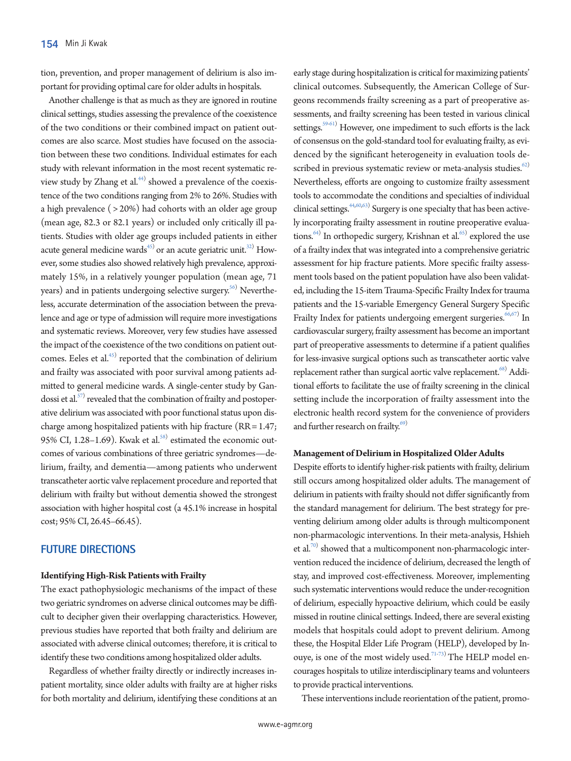tion, prevention, and proper management of delirium is also important for providing optimal care for older adults in hospitals.

Another challenge is that as much as they are ignored in routine clinical settings, studies assessing the prevalence of the coexistence of the two conditions or their combined impact on patient outcomes are also scarce. Most studies have focused on the association between these two conditions. Individual estimates for each study with relevant information in the most recent systematic review study by Zhang et al.<sup>44)</sup> showed a prevalence of the coexistence of the two conditions ranging from 2% to 26%. Studies with a high prevalence ( > 20%) had cohorts with an older age group (mean age, 82.3 or 82.1 years) or included only critically ill patients. Studies with older age groups included patients in either acute general medicine wards<sup>45)</sup> or an acute geriatric unit.<sup>32)</sup> However, some studies also showed relatively high prevalence, approximately 15%, in a relatively younger population (mean age, 71 years) and in patients undergoing selective surgery.<sup>56)</sup> Nevertheless, accurate determination of the association between the prevalence and age or type of admission will require more investigations and systematic reviews. Moreover, very few studies have assessed the impact of the coexistence of the two conditions on patient outcomes. Eeles et al. $45$  reported that the combination of delirium and frailty was associated with poor survival among patients admitted to general medicine wards. A single-center study by Gan-dossi et al.<sup>[57](#page-8-14))</sup> revealed that the combination of frailty and postoperative delirium was associated with poor functional status upon discharge among hospitalized patients with hip fracture (RR = 1.47; 95% CI,  $1.28-1.69$ ). Kwak et al.<sup>[58\)](#page-8-15)</sup> estimated the economic outcomes of various combinations of three geriatric syndromes—delirium, frailty, and dementia—among patients who underwent transcatheter aortic valve replacement procedure and reported that delirium with frailty but without dementia showed the strongest association with higher hospital cost (a 45.1% increase in hospital cost; 95% CI, 26.45–66.45).

## **FUTURE DIRECTIONS**

#### **Identifying High-Risk Patients with Frailty**

The exact pathophysiologic mechanisms of the impact of these two geriatric syndromes on adverse clinical outcomes may be difficult to decipher given their overlapping characteristics. However, previous studies have reported that both frailty and delirium are associated with adverse clinical outcomes; therefore, it is critical to identify these two conditions among hospitalized older adults.

Regardless of whether frailty directly or indirectly increases inpatient mortality, since older adults with frailty are at higher risks for both mortality and delirium, identifying these conditions at an

early stage during hospitalization is critical for maximizing patients' clinical outcomes. Subsequently, the American College of Surgeons recommends frailty screening as a part of preoperative assessments, and frailty screening has been tested in various clinical settings.<sup>59[-61](#page-8-17)</sup>) However, one impediment to such efforts is the lack of consensus on the gold-standard tool for evaluating frailty, as evidenced by the significant heterogeneity in evaluation tools described in previous systematic review or meta-analysis studies. $62)$  $62)$ Nevertheless, efforts are ongoing to customize frailty assessment tools to accommodate the conditions and specialties of individual clinical settings.<sup>44[,60,](#page-8-19)[63\)](#page-8-20)</sup> Surgery is one specialty that has been actively incorporating frailty assessment in routine preoperative evalua-tions.<sup>[64](#page-8-21))</sup> In orthopedic surgery, Krishnan et al.<sup>65)</sup> explored the use of a frailty index that was integrated into a comprehensive geriatric assessment for hip fracture patients. More specific frailty assessment tools based on the patient population have also been validated, including the 15-item Trauma-Specific Frailty Index for trauma patients and the 15-variable Emergency General Surgery Specific Frailty Index for patients undergoing emergent surgeries.<sup>[66](#page-9-2),[67](#page-9-3))</sup> In cardiovascular surgery, frailty assessment has become an important part of preoperative assessments to determine if a patient qualifies for less-invasive surgical options such as transcatheter aortic valve replacement rather than surgical aortic valve replacement.<sup>68)</sup> Additional efforts to facilitate the use of frailty screening in the clinical setting include the incorporation of frailty assessment into the electronic health record system for the convenience of providers and further research on frailty. $69)$ 

#### **Management of Delirium in Hospitalized Older Adults**

Despite efforts to identify higher-risk patients with frailty, delirium still occurs among hospitalized older adults. The management of delirium in patients with frailty should not differ significantly from the standard management for delirium. The best strategy for preventing delirium among older adults is through multicomponent non-pharmacologic interventions. In their meta-analysis, Hshieh et al.<sup>70)</sup> showed that a multicomponent non-pharmacologic intervention reduced the incidence of delirium, decreased the length of stay, and improved cost-effectiveness. Moreover, implementing such systematic interventions would reduce the under-recognition of delirium, especially hypoactive delirium, which could be easily missed in routine clinical settings. Indeed, there are several existing models that hospitals could adopt to prevent delirium. Among these, the Hospital Elder Life Program (HELP), developed by In-ouye, is one of the most widely used.<sup>[71-](#page-9-7)[73](#page-9-8))</sup> The HELP model encourages hospitals to utilize interdisciplinary teams and volunteers to provide practical interventions.

These interventions include reorientation of the patient, promo-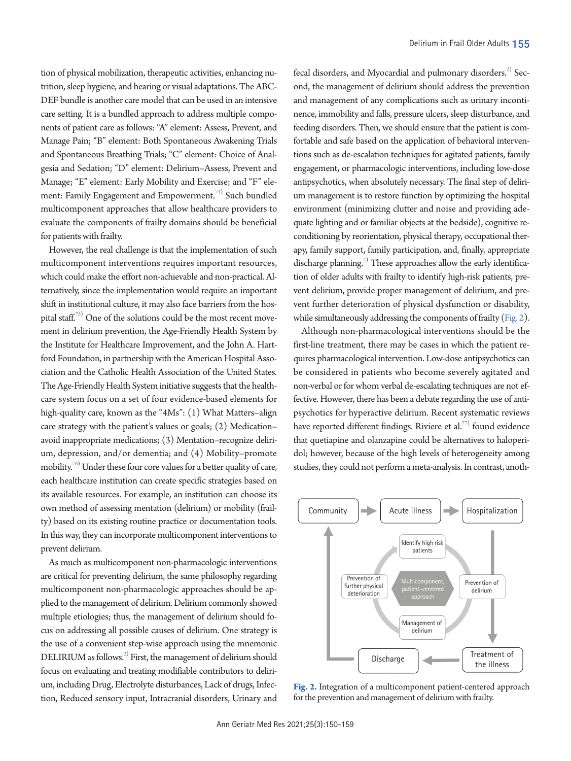tion of physical mobilization, therapeutic activities, enhancing nutrition, sleep hygiene, and hearing or visual adaptations. The ABC-DEF bundle is another care model that can be used in an intensive care setting. It is a bundled approach to address multiple components of patient care as follows: "A" element: Assess, Prevent, and Manage Pain; "B" element: Both Spontaneous Awakening Trials and Spontaneous Breathing Trials; "C" element: Choice of Analgesia and Sedation; "D" element: Delirium–Assess, Prevent and Manage; "E" element: Early Mobility and Exercise; and "F" element: Family Engagement and Empowerment.<sup>74)</sup> Such bundled multicomponent approaches that allow healthcare providers to evaluate the components of frailty domains should be beneficial for patients with frailty.

However, the real challenge is that the implementation of such multicomponent interventions requires important resources, which could make the effort non-achievable and non-practical. Alternatively, since the implementation would require an important shift in institutional culture, it may also face barriers from the hos-pital staff.<sup>[75](#page-9-10))</sup> One of the solutions could be the most recent movement in delirium prevention, the Age-Friendly Health System by the Institute for Healthcare Improvement, and the John A. Hartford Foundation, in partnership with the American Hospital Association and the Catholic Health Association of the United States. The Age-Friendly Health System initiative suggests that the healthcare system focus on a set of four evidence-based elements for high-quality care, known as the "4Ms": (1) What Matters-align care strategy with the patient's values or goals; (2) Medication– avoid inappropriate medications; (3) Mentation–recognize delirium, depression, and/or dementia; and (4) Mobility–promote mobility.<sup>[76](#page-9-11))</sup> Under these four core values for a better quality of care, each healthcare institution can create specific strategies based on its available resources. For example, an institution can choose its own method of assessing mentation (delirium) or mobility (frailty) based on its existing routine practice or documentation tools. In this way, they can incorporate multicomponent interventions to prevent delirium.

As much as multicomponent non-pharmacologic interventions are critical for preventing delirium, the same philosophy regarding multicomponent non-pharmacologic approaches should be applied to the management of delirium. Delirium commonly showed multiple etiologies; thus, the management of delirium should focus on addressing all possible causes of delirium. One strategy is the use of a convenient step-wise approach using the mnemonic  $\mathrm{DELIRIUM}$  as follows. $^{2)}$  First, the management of delirium should focus on evaluating and treating modifiable contributors to delirium, including Drug, Electrolyte disturbances, Lack of drugs, Infection, Reduced sensory input, Intracranial disorders, Urinary and

fecal disorders, and Myocardial and pulmonary disorders.<sup>2)</sup> Second, the management of delirium should address the prevention and management of any complications such as urinary incontinence, immobility and falls, pressure ulcers, sleep disturbance, and feeding disorders. Then, we should ensure that the patient is comfortable and safe based on the application of behavioral interventions such as de-escalation techniques for agitated patients, family engagement, or pharmacologic interventions, including low-dose antipsychotics, when absolutely necessary. The final step of delirium management is to restore function by optimizing the hospital environment (minimizing clutter and noise and providing adequate lighting and or familiar objects at the bedside), cognitive reconditioning by reorientation, physical therapy, occupational therapy, family support, family participation, and, finally, appropriate discharge planning.<sup>2)</sup> These approaches allow the early identification of older adults with frailty to identify high-risk patients, prevent delirium, provide proper management of delirium, and prevent further deterioration of physical dysfunction or disability, while simultaneously addressing the components of frailty [\(Fig. 2\)](#page-5-0).

Although non-pharmacological interventions should be the first-line treatment, there may be cases in which the patient requires pharmacological intervention. Low-dose antipsychotics can be considered in patients who become severely agitated and non-verbal or for whom verbal de-escalating techniques are not effective. However, there has been a debate regarding the use of antipsychotics for hyperactive delirium. Recent systematic reviews have reported different findings. Riviere et al.<sup>77)</sup> found evidence that quetiapine and olanzapine could be alternatives to haloperidol; however, because of the high levels of heterogeneity among studies, they could not perform a meta-analysis. In contrast, anoth-

<span id="page-5-0"></span>

**Fig. 2.** Integration of a multicomponent patient-centered approach for the prevention and management of delirium with frailty.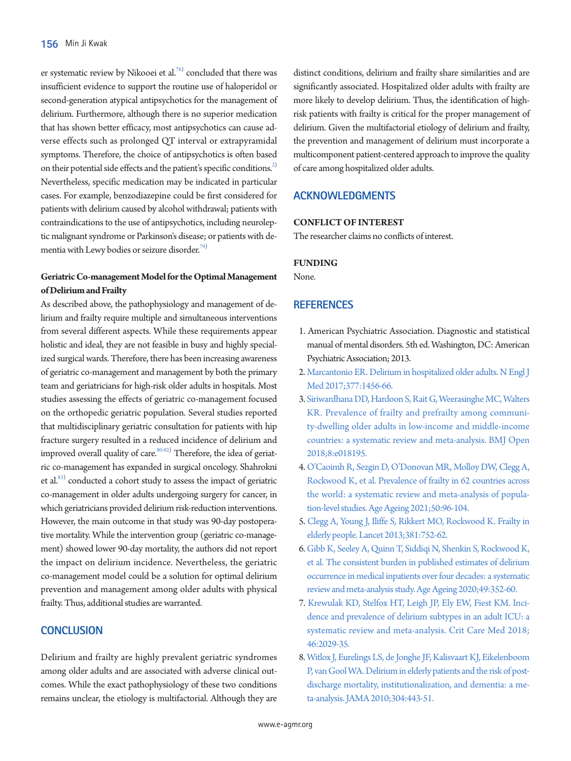er systematic review by Nikooei et al.<sup>[78](#page-9-13))</sup> concluded that there was insufficient evidence to support the routine use of haloperidol or second-generation atypical antipsychotics for the management of delirium. Furthermore, although there is no superior medication that has shown better efficacy, most antipsychotics can cause adverse effects such as prolonged QT interval or extrapyramidal symptoms. Therefore, the choice of antipsychotics is often based on their potential side effects and the patient's specific conditions.<sup>2)</sup> Nevertheless, specific medication may be indicated in particular cases. For example, benzodiazepine could be first considered for patients with delirium caused by alcohol withdrawal; patients with contraindications to the use of antipsychotics, including neuroleptic malignant syndrome or Parkinson's disease; or patients with dementia with Lewy bodies or seizure disorder.<sup>79)</sup>

## **Geriatric Co-management Model for the Optimal Management of Delirium and Frailty**

As described above, the pathophysiology and management of delirium and frailty require multiple and simultaneous interventions from several different aspects. While these requirements appear holistic and ideal, they are not feasible in busy and highly specialized surgical wards. Therefore, there has been increasing awareness of geriatric co-management and management by both the primary team and geriatricians for high-risk older adults in hospitals. Most studies assessing the effects of geriatric co-management focused on the orthopedic geriatric population. Several studies reported that multidisciplinary geriatric consultation for patients with hip fracture surgery resulted in a reduced incidence of delirium and improved overall quality of care. $^{\text{80-82)}}$  $^{\text{80-82)}}$  $^{\text{80-82)}}$  $^{\text{80-82)}}$  Therefore, the idea of geriatric co-management has expanded in surgical oncology. Shahrokni et al.<sup>83)</sup> conducted a cohort study to assess the impact of geriatric co-management in older adults undergoing surgery for cancer, in which geriatricians provided delirium risk-reduction interventions. However, the main outcome in that study was 90-day postoperative mortality. While the intervention group (geriatric co-management) showed lower 90-day mortality, the authors did not report the impact on delirium incidence. Nevertheless, the geriatric co-management model could be a solution for optimal delirium prevention and management among older adults with physical frailty. Thus, additional studies are warranted.

# **CONCLUSION**

Delirium and frailty are highly prevalent geriatric syndromes among older adults and are associated with adverse clinical outcomes. While the exact pathophysiology of these two conditions remains unclear, the etiology is multifactorial. Although they are

distinct conditions, delirium and frailty share similarities and are significantly associated. Hospitalized older adults with frailty are more likely to develop delirium. Thus, the identification of highrisk patients with frailty is critical for the proper management of delirium. Given the multifactorial etiology of delirium and frailty, the prevention and management of delirium must incorporate a multicomponent patient-centered approach to improve the quality of care among hospitalized older adults.

# **ACKNOWLEDGMENTS**

### **CONFLICT OF INTEREST**

The researcher claims no conflicts of interest.

#### **FUNDING**

<span id="page-6-1"></span>None.

## **REFERENCES**

- <span id="page-6-2"></span><span id="page-6-0"></span>1. American Psychiatric Association. Diagnostic and statistical manual of mental disorders. 5th ed. Washington, DC: American Psychiatric Association; 2013.
- <span id="page-6-3"></span>2. Marcantonio ER. Delirium in hospitalized older adults. N Engl J Med 2017;377:1456-66.
- 3. Siriwardhana DD, Hardoon S, Rait G, Weerasinghe MC, [Walters](https://doi.org/10.1136/bmjopen-2017-018195)  [KR. Prevalence of frailty and prefrailty among communi](https://doi.org/10.1136/bmjopen-2017-018195)[ty-dwelling older adults in low-income and middle-income](https://doi.org/10.1136/bmjopen-2017-018195)  [countries: a systematic review and meta-analysis. BMJ](https://doi.org/10.1136/bmjopen-2017-018195) Open 2018;8:e018195.
- 4. [O'Caoimh R, Sezgin D, O'Donovan MR, Molloy DW, Clegg A,](https://doi.org/10.1093/ageing/afaa219)  [Rockwood K, et al. Prevalence of frailty in 62 countries across](https://doi.org/10.1093/ageing/afaa219)  [the world: a systematic review and meta-analysis of popula](https://doi.org/10.1093/ageing/afaa219)[tion-level studies. Age Ageing 2021;50:96-104.](https://doi.org/10.1093/ageing/afaa219)
- <span id="page-6-6"></span>5. Clegg A, [Young J, Iliffe S, Rikkert MO, Rockwood K. Frailty in](https://doi.org/10.1016/s0140-6736(12)62167-9)  [elderly people. Lancet 2013;381:752-62.](https://doi.org/10.1016/s0140-6736(12)62167-9)
- <span id="page-6-4"></span>[6. Gibb K, Seeley A, Quinn T, Siddiqi N, Shenkin S, Rockwood K,](https://doi.org/10.1093/ageing/afaa040)  [et al. The consistent burden in published estimates of delirium](https://doi.org/10.1093/ageing/afaa040)  [occurrence in medical inpatients over four decades: a systematic](https://doi.org/10.1093/ageing/afaa040)  [review and meta-analysis study. Age Agein](https://doi.org/10.1093/ageing/afaa040)g 2020;49:352-60.
- <span id="page-6-5"></span>7[. Krewulak KD, Stelfox HT, Leigh JP, Ely EW, Fiest KM. Inci](https://doi.org/10.1097/ccm.0000000000003402)[dence and prevalence of delirium subtypes in an adult ICU: a](https://doi.org/10.1097/ccm.0000000000003402)  [systematic review and meta-analysis. Crit Care Med 2018;](https://doi.org/10.1097/ccm.0000000000003402) [46:2029-35.](https://doi.org/10.1097/ccm.0000000000003402)
- 8. [Witlox J, Eurelings LS, de Jonghe JF, Kalisvaart KJ, Eikelenboom](https://doi.org/10.1001/jama.2010.1013)  [P, van Gool WA. Delirium in elderly patients and the risk of post](https://doi.org/10.1001/jama.2010.1013)[discharge mortality, institutionalization, and dementia: a me](https://doi.org/10.1001/jama.2010.1013)[ta-analysis. JAMA 2010;304:443-51.](https://doi.org/10.1001/jama.2010.1013)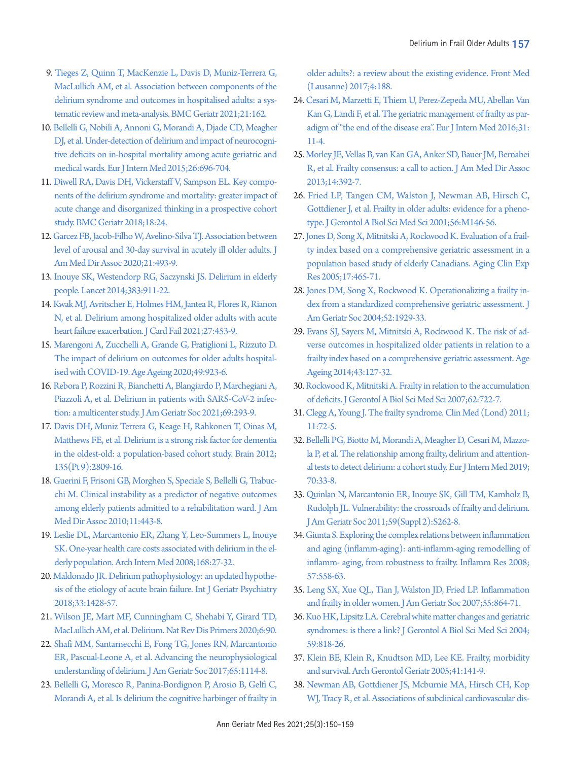- 9. [Tieges Z, Quinn T, MacKenzie L, Davis D, Muniz-Terrera G,](https://doi.org/10.1186/s12877-021-02095-z)  [MacLullich AM, et al. Association between components of the](https://doi.org/10.1186/s12877-021-02095-z)  [delirium syndrome and outcomes in hospitalised adults: a sys](https://doi.org/10.1186/s12877-021-02095-z)[tematic review and meta-analysis. BMC Geriatr](https://doi.org/10.1186/s12877-021-02095-z) 2021;21:162.
- 10. [Bellelli G, Nobili A, Annoni G, Morandi A, Djade CD, Meagher](https://doi.org/10.1016/j.ejim.2015.08.006)  [DJ, et al. Under-detection of delirium and impact of neurocogni](https://doi.org/10.1016/j.ejim.2015.08.006)[tive deficits on in-hospital mortality among acute geriatric and](https://doi.org/10.1016/j.ejim.2015.08.006)  [medical wards. Eur J Intern Med 2015;26:696-704.](https://doi.org/10.1016/j.ejim.2015.08.006)
- 11. [Diwell RA, Davis DH, Vickerstaff V, Sampson EL. Key compo](https://doi.org/10.1186/s12877-018-0719-1)[nents of the delirium syndrome and mortality: greater impact of](https://doi.org/10.1186/s12877-018-0719-1)  [acute change and disorganized thinking in a prospective cohort](https://doi.org/10.1186/s12877-018-0719-1)  [study. BMC Geriatr 2018;18:24.](https://doi.org/10.1186/s12877-018-0719-1)
- 12. [Garcez FB, Jacob-Filho W, Avelino-Silva TJ. Association between](https://doi.org/10.1016/j.jamda.2019.11.020)  [level of arousal and 30-day survival in acutely ill older adults. J](https://doi.org/10.1016/j.jamda.2019.11.020)  [Am Med Dir Assoc 2020;21:493-9.](https://doi.org/10.1016/j.jamda.2019.11.020)
- <span id="page-7-1"></span>13. [Inouye SK, Westendorp RG, Saczynski JS. Delirium in elderly](https://doi.org/10.1016/s0140-6736(13)60688-1)  [people. Lancet 2014;383:911-22.](https://doi.org/10.1016/s0140-6736(13)60688-1)
- 14. [Kwak MJ, Avritscher E, Holmes HM, Jantea R, Flores R, Rianon](https://doi.org/10.1016/j.cardfail.2020.12.007)  [N, et al. Delirium among hospitalized older adults with acute](https://doi.org/10.1016/j.cardfail.2020.12.007)  [heart failure exacerbation. J Card Fail 2021;27:453-9.](https://doi.org/10.1016/j.cardfail.2020.12.007)
- 15. [Marengoni A, Zucchelli A, Grande G, Fratiglioni L, Rizzuto D.](https://doi.org/10.1093/ageing/afaa189)  [The impact of delirium on outcomes for older adults hospital](https://doi.org/10.1093/ageing/afaa189)[ised with COVID-19. Age Ageing 2020;49:923-6.](https://doi.org/10.1093/ageing/afaa189)
- <span id="page-7-0"></span>16. Rebo[ra P, Rozzini R, Bianchetti A, Blangiardo P, Marchegiani A,](https://doi.org/10.1111/jgs.16969)  [Piazzoli A, et al. Delirium in patients with SARS-CoV-2 infec](https://doi.org/10.1111/jgs.16969)[tion: a multicenter study. J Am Geriatr Soc 2021;69:293-9.](https://doi.org/10.1111/jgs.16969)
- <span id="page-7-2"></span>1[7. Davis DH, Muniz Terrera G, Keage H, Rahkonen T, Oinas M,](https://doi.org/10.1093/brain/aws190)  [Matthews FE, et al. Delirium is a strong risk factor for dementia](https://doi.org/10.1093/brain/aws190)  [in the oldest-old: a population-based cohort study. Brain 2012;](https://doi.org/10.1093/brain/aws190) [135\(Pt 9\):2809-16](https://doi.org/10.1093/brain/aws190).
- 1[8. Guerini F, Frisoni GB, Morghen S, Speciale S, Bellelli G, Trabuc](https://doi.org/10.1016/j.jamda.2009.10.005)[chi M. Clinical instability as a predictor of negative outcomes](https://doi.org/10.1016/j.jamda.2009.10.005)  [among elderly patients admitted to a rehabilitation ward. J Am](https://doi.org/10.1016/j.jamda.2009.10.005)  [Med Dir Assoc 2010;11:443-8.](https://doi.org/10.1016/j.jamda.2009.10.005)
- <span id="page-7-3"></span>19. Leslie DL, Ma[rcantonio ER, Zhang Y, Leo-Summers L, Inouye](https://doi.org/10.1001/archinternmed.2007.4)  [SK. One-year health care costs associated with delirium in the el](https://doi.org/10.1001/archinternmed.2007.4)[derly population. Arch Intern Med 2008;168:27-32.](https://doi.org/10.1001/archinternmed.2007.4)
- <span id="page-7-6"></span>20. Maldonado JR. Delirium pathophysiology: an updated hypothesis of the etiology of acute b[rain failure. Int J Geriatr Psychiatry](https://doi.org/10.1002/gps.4823)  [2018;33:1428-57.](https://doi.org/10.1002/gps.4823)
- <span id="page-7-4"></span>21. Wilson JE, Mart M[F, Cunningham C, Shehabi Y, Girard TD,](https://doi.org/10.1038/s41572-020-00223-4)  [MacLullich AM, et al. Delirium. Nat Rev Dis Primers 2020;6:90.](https://doi.org/10.1038/s41572-020-00223-4)
- <span id="page-7-5"></span>22. Shafi MM, Santarnecchi E, Fong [TG, Jones RN, Marcantonio](https://doi.org/10.1111/jgs.14748)  [ER, Pascual-Leone A, et al. Advancing the neurophysiological](https://doi.org/10.1111/jgs.14748)  [understanding of delirium. J Am Geriatr Soc 2017;65:1114-8.](https://doi.org/10.1111/jgs.14748)
- 23. [Bellelli G, Moresco R, Panina-Bordignon P, Arosio B, Gelfi C,](https://doi.org/10.3389/fmed.2017.00188)  [Morandi A, et al. Is delirium the cognitive harbinger of frailty in](https://doi.org/10.3389/fmed.2017.00188)

[older adults?: a review about the existing evidence. Front Med](https://doi.org/10.3389/fmed.2017.00188)  [\(Lausanne\) 2017;4:188.](https://doi.org/10.3389/fmed.2017.00188) 

- 24. [Cesari M, Marzetti E, Thiem U, Perez-Zepeda MU, Abellan Van](https://doi.org/10.1016/j.ejim.2016.03.005)  [Kan G, Landi F, et al. The geriatric management of frailty as par](https://doi.org/10.1016/j.ejim.2016.03.005)[adigm of "the end of the disease era". Eur J Intern Med 2016;31:](https://doi.org/10.1016/j.ejim.2016.03.005) [11-4.](https://doi.org/10.1016/j.ejim.2016.03.005)
- 25. [Morley JE, Vellas B, van Kan GA, Anker SD, Bauer JM, Bernabei](https://doi.org/10.1016/j.jamda.2013.03.022)  [R, et al. Frailty consensus: a call to action. J Am Med Dir Assoc](https://doi.org/10.1016/j.jamda.2013.03.022)  [2013;14:392-7.](https://doi.org/10.1016/j.jamda.2013.03.022)
- 26. [Fried LP, Tangen CM, Walston J, Newman AB, Hirsch C,](https://doi.org/10.1093/gerona/56.3.m146)  [Gottdiener J, et al. Frailty in older adults: evidence for a pheno](https://doi.org/10.1093/gerona/56.3.m146)[type. J Gerontol A Biol Sci Med Sci 2001;56:M146-56.](https://doi.org/10.1093/gerona/56.3.m146)
- <span id="page-7-7"></span>27. Jone[s D, Song X, Mitnitski A, Rockwood K. Evaluation of a frail](https://doi.org/10.1007/bf03327413)[ty index based on a comprehensive geriatric assessment in a](https://doi.org/10.1007/bf03327413)  [population based study of elderly Canadians. Aging Clin Exp](https://doi.org/10.1007/bf03327413)  [Res 2005;17:465-7](https://doi.org/10.1007/bf03327413)1.
- <span id="page-7-10"></span>28[. Jones DM, Song X, Rockwood K. Operationalizing a frailty in](https://doi.org/10.1111/j.1532-5415.2004.52521.x)[dex from a standardized comprehensive geriatric assessment. J](https://doi.org/10.1111/j.1532-5415.2004.52521.x)  [Am Geriatr Soc 2004;52:1929-33.](https://doi.org/10.1111/j.1532-5415.2004.52521.x)
- <span id="page-7-8"></span>29[. Evans SJ, Sayers M, Mitnitski A, Rockwood K. The risk of ad](https://doi.org/10.1093/ageing/aft156)[verse outcomes in hospitalized older patients in relation to a](https://doi.org/10.1093/ageing/aft156)  [frailty index based on a comprehensive geriatric assessment. Age](https://doi.org/10.1093/ageing/aft156)  [Ageing 2014;43:127-32](https://doi.org/10.1093/ageing/aft156).
- <span id="page-7-9"></span>30[. Rockwood K, Mitnitski A. Frailty in relation to the accumulation](https://doi.org/10.1093/gerona/62.7.722)  [of deficits. J Gerontol A Biol Sci Med Sci 2007;62:722-7](https://doi.org/10.1093/gerona/62.7.722).
- 31. [Clegg A, Young J. The frailty syndrome. Clin Med \(Lond\) 2011;](https://doi.org/10.7861/clinmedicine.11-1-72) [11:72-5.](https://doi.org/10.7861/clinmedicine.11-1-72)
- 32. [Bellelli PG, Biotto M, Morandi A, Meagher D, Cesari M, Mazzo](https://doi.org/10.1016/j.ejim.2019.09.008)[la P, et al. The relationship among frailty, delirium and attention](https://doi.org/10.1016/j.ejim.2019.09.008)[al tests to detect delirium: a cohort study. Eur J Intern Med 2019;](https://doi.org/10.1016/j.ejim.2019.09.008) [70:33-8.](https://doi.org/10.1016/j.ejim.2019.09.008)
- <span id="page-7-11"></span>33[. Quinlan N, Marcantonio ER, Inouye SK, Gill TM, Kamholz B,](https://doi.org/10.1111/j.1532-5415.2011.03674.x)  [Rudolph JL. Vulnerability: the crossroads of frailty and delirium.](https://doi.org/10.1111/j.1532-5415.2011.03674.x)  [J Am Geriatr Soc 2011;59\(Suppl 2\):S262-8](https://doi.org/10.1111/j.1532-5415.2011.03674.x).
- <span id="page-7-12"></span>3[4. Giunta S. Exploring the complex relations between inflammation](https://doi.org/10.1007/s00011-008-7243-2)  [and aging \(inflamm-aging\): anti-inflamm-aging remodelling of](https://doi.org/10.1007/s00011-008-7243-2)  [inflamm- aging, from robustness to frailty. Inflamm Res 2008;](https://doi.org/10.1007/s00011-008-7243-2) [57:558-63](https://doi.org/10.1007/s00011-008-7243-2).
- <span id="page-7-13"></span>35[. Leng SX, Xue QL, Tian J, Walston JD, Fried LP. Inflammation](https://doi.org/10.1111/j.1532-5415.2007.01186.x)  [and frailty in older women. J Am Geriatr Soc 2007;55:864-71](https://doi.org/10.1111/j.1532-5415.2007.01186.x).
- <span id="page-7-15"></span>3[6. Kuo HK, Lipsitz LA. Cerebral white matter changes and geriatric](https://doi.org/10.1093/gerona/59.8.m818)  [syndromes: is there a link? J Gerontol A Biol Sci Med Sci 2004;](https://doi.org/10.1093/gerona/59.8.m818) [59:818-26](https://doi.org/10.1093/gerona/59.8.m818).
- <span id="page-7-16"></span>37[. Klein BE, Klein R, Knudtson MD, Lee KE. Frailty, morbidity](https://doi.org/10.1016/j.archger.2005.01.002)  [and survival. Arch Gerontol Geriatr 2005;41:141-9.](https://doi.org/10.1016/j.archger.2005.01.002)
- <span id="page-7-14"></span>38. [Newman AB, Gottdiener JS, Mcburnie MA, Hirsch CH, Kop](https://doi.org/10.1093/gerona/56.3.m158)  [WJ, Tracy R, et al. Associations of subclinical cardiovascular dis-](https://doi.org/10.1093/gerona/56.3.m158)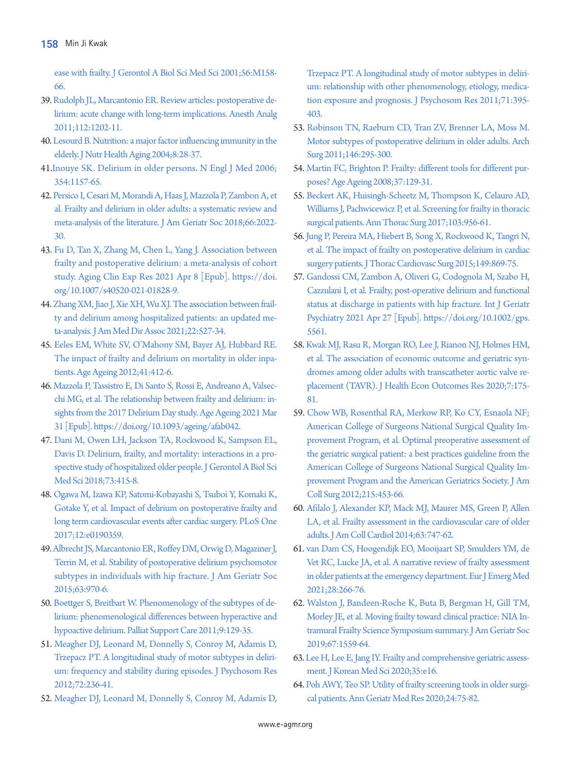[ease with frailty. J Gerontol A Biol Sci Med Sci 2001;56:M158-](https://doi.org/10.1093/gerona/56.3.m158) [66](https://doi.org/10.1093/gerona/56.3.m158).

- <span id="page-8-2"></span>3[9. Rudolph JL, Marcantonio ER. Review articles: postoperative de](https://doi.org/10.1213/ane.0b013e3182147f6d)[lirium: acute change with long-term implications. Anesth Analg](https://doi.org/10.1213/ane.0b013e3182147f6d)  [2011;112:1202-11](https://doi.org/10.1213/ane.0b013e3182147f6d).
- <span id="page-8-1"></span>40. Lesourd B. Nutrition: a major factor influencing immunity in the elderly. J Nutr Health Aging 2004;8:28-37.
- <span id="page-8-3"></span>41.Inouye SK. Delirium in older persons. N Engl J Med 2006; 354:1157-65.
- <span id="page-8-12"></span>42. Persico I, Cesari M, Morandi A, Haas J, Mazzola [P, Zambon A, et](https://doi.org/10.1111/jgs.15503)  [al. Frailty and delirium in older adults: a systematic review and](https://doi.org/10.1111/jgs.15503)  [meta-analysis of the literature. J Am Geriatr Soc 2018;66:2022-](https://doi.org/10.1111/jgs.15503) [30.](https://doi.org/10.1111/jgs.15503)
- <span id="page-8-0"></span>4[3. Fu D, Tan X, Zhang M, Chen L, Yang J. Association between](https://doi.org/10.1007/s40520-021-01828-9)  [frailty and postoperative delirium: a meta-analysis of cohort](https://doi.org/10.1007/s40520-021-01828-9)  [study. Aging Clin Exp Res 2021 Apr 8 \[Epub\]. https://doi.](https://doi.org/10.1007/s40520-021-01828-9) [org/10.1007/s40520-021-01828-9.](https://doi.org/10.1007/s40520-021-01828-9)
- 44. [Zhang XM, Jiao J, Xie XH, Wu XJ. The association between frail](https://doi.org/10.1016/j.jamda.2021.01.065)[ty and delirium among hospitalized patients: an updated me](https://doi.org/10.1016/j.jamda.2021.01.065)[ta-analysis. J Am Med Dir Assoc 2021;22:527-34.](https://doi.org/10.1016/j.jamda.2021.01.065)
- 45. [Eeles EM, White SV, O'Mahony SM, Bayer AJ, Hubbard RE.](https://doi.org/10.1093/ageing/afs021)  [The impact of frailty and delirium on mortality in older inpa](https://doi.org/10.1093/ageing/afs021)[tients. Age Ageing 2012;41:412-6.](https://doi.org/10.1093/ageing/afs021)
- <span id="page-8-4"></span>46. Mazzola P, [Tassistro E, Di Santo S, Rossi E, Andreano A, Valsec](https://doi.org/10.1093/ageing/afab042)[chi MG, et al. The relationship between frailty and delirium: in](https://doi.org/10.1093/ageing/afab042)[sights from the 2017 Delirium Day study. Age Ageing 2021 Mar](https://doi.org/10.1093/ageing/afab042)  [31 \[Epub\]. https://doi.org/10.1093/ageing/](https://doi.org/10.1093/ageing/afab042)afab042.
- <span id="page-8-5"></span>47. [Dani M, Owen LH, Jackson TA, Rockwood K, Sampson EL,](https://doi.org/10.1101/207621)  [Davis D. Delirium, frailty, and mortality: interactions in a pro](https://doi.org/10.1101/207621)[spective study of hospitalized older people. J Gerontol A Biol Sci](https://doi.org/10.1101/207621)  [Med Sci 2018;73:415-8.](https://doi.org/10.1101/207621)
- <span id="page-8-6"></span>48. [Ogawa M, Izawa KP, Satomi-Kobayashi S, Tsuboi Y, Komaki K,](https://doi.org/10.1371/journal.pone.0190359)  [Gotake Y, et al. Impact of delirium on postoperative frailty and](https://doi.org/10.1371/journal.pone.0190359)  [long term cardiovascular events after cardiac surgery. PLoS One](https://doi.org/10.1371/journal.pone.0190359)  [2017;12:e0190359.](https://doi.org/10.1371/journal.pone.0190359)
- 49. [Albrecht JS, Marcantonio ER, Roffey DM, Orwig D, Magaziner J,](https://doi.org/10.1111/jgs.13334)  [Terrin M, et al. Stability of postoperative delirium psychomotor](https://doi.org/10.1111/jgs.13334)  [subtypes in individuals with hip fracture. J Am Geriatr Soc](https://doi.org/10.1111/jgs.13334)  [2015;63:970-6.](https://doi.org/10.1111/jgs.13334)
- 50. [Boettger S, Breitbart W. Phenomenology of the subtypes of de](https://doi.org/10.1017/s1478951510000672)[lirium: phenomenological differences between hyperactive and](https://doi.org/10.1017/s1478951510000672)  [hypoactive delirium. Palliat Support Care 2011;9:129-35.](https://doi.org/10.1017/s1478951510000672)
- <span id="page-8-7"></span>5[1. Meagher DJ, Leonard M, Donnelly S, Conroy M, Adamis D,](https://doi.org/10.1016/j.jpsychores.2011.11.013)  [Trzepacz PT. A longitudinal study of motor subtypes in deliri](https://doi.org/10.1016/j.jpsychores.2011.11.013)[um: frequency and stability during episodes. J Psychosom Res](https://doi.org/10.1016/j.jpsychores.2011.11.013)  [2012;72:236-41.](https://doi.org/10.1016/j.jpsychores.2011.11.013)
- <span id="page-8-8"></span>5[2. Meagher DJ, Leonard M, Donnelly S, Conroy M, Adamis D,](https://doi.org/10.1016/j.jpsychores.2011.06.001)

[Trzepacz PT. A longitudinal study of motor subtypes in deliri](https://doi.org/10.1016/j.jpsychores.2011.06.001)[um: relationship with other phenomenology, etiology, medica](https://doi.org/10.1016/j.jpsychores.2011.06.001)[tion exposure and prognosis. J Psychosom Res](https://doi.org/10.1016/j.jpsychores.2011.06.001) 2011;71:395- 403.

- <span id="page-8-9"></span>53[. Robinson TN, Raeburn CD, Tran ZV, Brenner LA, Moss M.](https://doi.org/10.1001/archsurg.2011.14)  [Motor subtypes of postoperative delirium in older adults. Arch](https://doi.org/10.1001/archsurg.2011.14)  [Surg 2011;146:295-300](https://doi.org/10.1001/archsurg.2011.14).
- <span id="page-8-10"></span>54[. Martin FC, Brighton P. Frailty: different tools for different pur](https://doi.org/10.1093/ageing/afn011)[poses? Age Ageing 2008;37:129-31.](https://doi.org/10.1093/ageing/afn011)
- <span id="page-8-11"></span>55[. Beckert AK, Huisingh-Scheetz M, Thompson K, Celauro AD,](https://doi.org/10.1016/j.athoracsur.2016.08.078)  Williams J, Pachwicewicz P, et al. Screening for frailty in thoracic [surgical patients. Ann Thorac Surg 2017;103:956-61](https://doi.org/10.1016/j.athoracsur.2016.08.078).
- <span id="page-8-13"></span>56[. Jung P, Pereira MA, Hiebert B, Song X, Rockwood K, Tangri N,](https://doi.org/10.1016/j.jtcvs.2014.10.118)  [et al. The impact of frailty on postoperative delirium in cardiac](https://doi.org/10.1016/j.jtcvs.2014.10.118)  [surgery patients. J Thorac Cardiovasc Surg 2015;149:869-75.](https://doi.org/10.1016/j.jtcvs.2014.10.118)
- <span id="page-8-14"></span>57[. Gandossi CM, Zambon A, Oliveri G, Codognola M, Szabo H,](https://doi.org/10.1002/gps.5561)  [Cazzulani I, et al. Frailty, post-operative delirium and functional](https://doi.org/10.1002/gps.5561)  [status at discharge in patients with hip fracture. Int J Geriatr](https://doi.org/10.1002/gps.5561)  [Psychiatry 2021 Apr 27 \[Epub\]. https://doi.org/](https://doi.org/10.1002/gps.5561)10.1002/gps. 5561.
- <span id="page-8-15"></span>58[. Kwak MJ, Rasu R, Morgan RO, Lee J, Rianon NJ, Holmes HM,](https://doi.org/10.36469/jheor.2020.17423)  [et al. The association of economic outcome and geriatric syn](https://doi.org/10.36469/jheor.2020.17423)[dromes among older adults with transcatheter aortic valve re](https://doi.org/10.36469/jheor.2020.17423)[placement \(TAVR\). J Health Econ Outcomes Res](https://doi.org/10.36469/jheor.2020.17423) 2020;7:175- 81.
- <span id="page-8-16"></span>59[. Chow WB, Rosenthal RA, Merkow RP, Ko CY, Esnaola NF;](https://doi.org/10.1016/j.jamcollsurg.2012.06.017)  [American College of Surgeons National Surgical Quality Im](https://doi.org/10.1016/j.jamcollsurg.2012.06.017)[provement Program, et al. Optimal preoperative assessment of](https://doi.org/10.1016/j.jamcollsurg.2012.06.017)  [the geriatric surgical patient: a best practices guideline](https://doi.org/10.1016/j.jamcollsurg.2012.06.017) from the American College of Surgeons National Surgical Quality Improvement Program and the American Geriatrics Society. J Am Coll Surg 2012;215:453-66.
- <span id="page-8-19"></span>60[. Afilalo J, Alexander KP, Mack MJ, Maurer MS, Green P, Allen](https://doi.org/10.1016/j.jacc.2013.09.070)  [LA, et al. Frailty assessment in the cardiovascular care of older](https://doi.org/10.1016/j.jacc.2013.09.070)  [adults. J Am Coll Cardiol 2014;63:747-62](https://doi.org/10.1016/j.jacc.2013.09.070).
- <span id="page-8-17"></span>61[. van Dam CS, Hoogendijk EO, Mooijaart SP, Smulders YM, de](https://doi.org/10.1097/mej.0000000000000811)  [Vet RC, Lucke JA, et al. A narrative review of frailty assessment](https://doi.org/10.1097/mej.0000000000000811)  [in older patients at the emergency department. Eur J Emerg Med](https://doi.org/10.1097/mej.0000000000000811)  [2021;28:266-76.](https://doi.org/10.1097/mej.0000000000000811)
- <span id="page-8-18"></span>62[. Walston J, Bandeen-Roche K, Buta B, Bergman H, Gill TM,](https://doi.org/10.1111/jgs.15928)  [Morley JE, et al. Moving frailty toward clinical practice: NIA In](https://doi.org/10.1111/jgs.15928)[tramural Frailty Science Symposium summary. J Am Geriatr Soc](https://doi.org/10.1111/jgs.15928)  [2019;67:1559-64](https://doi.org/10.1111/jgs.15928).
- <span id="page-8-20"></span>63[. Lee H, Lee E, Jang IY. Frailty and comprehensive geriatric assess](https://doi.org/10.3346/jkms.2020.35.e16)[ment. J Korean Med Sci 2020;35:e16.](https://doi.org/10.3346/jkms.2020.35.e16)
- <span id="page-8-21"></span>64[. Poh AWY, Teo SP. Utility of frailty screening tools in older surgi](https://doi.org/10.4235/agmr.20.0023)[cal patients. Ann Geriatr Med Res 2020;24:75-82](https://doi.org/10.4235/agmr.20.0023).